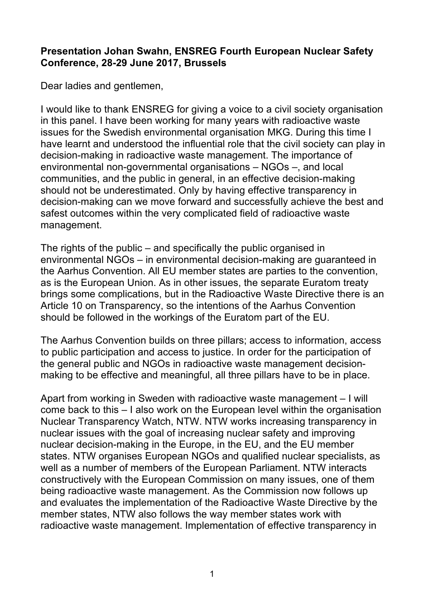## **Presentation Johan Swahn, ENSREG Fourth European Nuclear Safety Conference, 28-29 June 2017, Brussels**

Dear ladies and gentlemen,

I would like to thank ENSREG for giving a voice to a civil society organisation in this panel. I have been working for many years with radioactive waste issues for the Swedish environmental organisation MKG. During this time I have learnt and understood the influential role that the civil society can play in decision-making in radioactive waste management. The importance of environmental non-governmental organisations – NGOs –, and local communities, and the public in general, in an effective decision-making should not be underestimated. Only by having effective transparency in decision-making can we move forward and successfully achieve the best and safest outcomes within the very complicated field of radioactive waste management.

The rights of the public – and specifically the public organised in environmental NGOs – in environmental decision-making are guaranteed in the Aarhus Convention. All EU member states are parties to the convention, as is the European Union. As in other issues, the separate Euratom treaty brings some complications, but in the Radioactive Waste Directive there is an Article 10 on Transparency, so the intentions of the Aarhus Convention should be followed in the workings of the Euratom part of the EU.

The Aarhus Convention builds on three pillars; access to information, access to public participation and access to justice. In order for the participation of the general public and NGOs in radioactive waste management decisionmaking to be effective and meaningful, all three pillars have to be in place.

Apart from working in Sweden with radioactive waste management – I will come back to this – I also work on the European level within the organisation Nuclear Transparency Watch, NTW. NTW works increasing transparency in nuclear issues with the goal of increasing nuclear safety and improving nuclear decision-making in the Europe, in the EU, and the EU member states. NTW organises European NGOs and qualified nuclear specialists, as well as a number of members of the European Parliament. NTW interacts constructively with the European Commission on many issues, one of them being radioactive waste management. As the Commission now follows up and evaluates the implementation of the Radioactive Waste Directive by the member states, NTW also follows the way member states work with radioactive waste management. Implementation of effective transparency in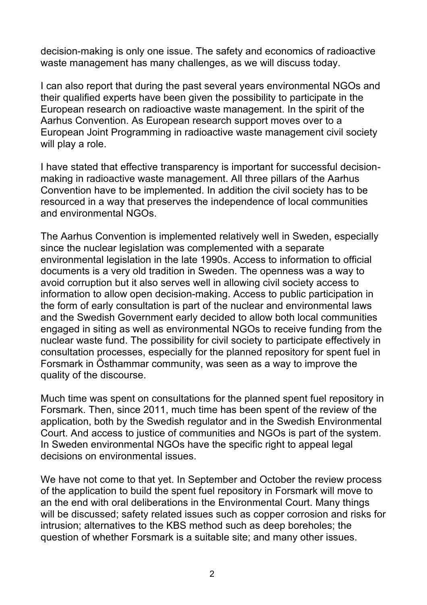decision-making is only one issue. The safety and economics of radioactive waste management has many challenges, as we will discuss today.

I can also report that during the past several years environmental NGOs and their qualified experts have been given the possibility to participate in the European research on radioactive waste management. In the spirit of the Aarhus Convention. As European research support moves over to a European Joint Programming in radioactive waste management civil society will play a role.

I have stated that effective transparency is important for successful decisionmaking in radioactive waste management. All three pillars of the Aarhus Convention have to be implemented. In addition the civil society has to be resourced in a way that preserves the independence of local communities and environmental NGOs.

The Aarhus Convention is implemented relatively well in Sweden, especially since the nuclear legislation was complemented with a separate environmental legislation in the late 1990s. Access to information to official documents is a very old tradition in Sweden. The openness was a way to avoid corruption but it also serves well in allowing civil society access to information to allow open decision-making. Access to public participation in the form of early consultation is part of the nuclear and environmental laws and the Swedish Government early decided to allow both local communities engaged in siting as well as environmental NGOs to receive funding from the nuclear waste fund. The possibility for civil society to participate effectively in consultation processes, especially for the planned repository for spent fuel in Forsmark in Östhammar community, was seen as a way to improve the quality of the discourse.

Much time was spent on consultations for the planned spent fuel repository in Forsmark. Then, since 2011, much time has been spent of the review of the application, both by the Swedish regulator and in the Swedish Environmental Court. And access to justice of communities and NGOs is part of the system. In Sweden environmental NGOs have the specific right to appeal legal decisions on environmental issues.

We have not come to that yet. In September and October the review process of the application to build the spent fuel repository in Forsmark will move to an the end with oral deliberations in the Environmental Court. Many things will be discussed; safety related issues such as copper corrosion and risks for intrusion; alternatives to the KBS method such as deep boreholes; the question of whether Forsmark is a suitable site; and many other issues.